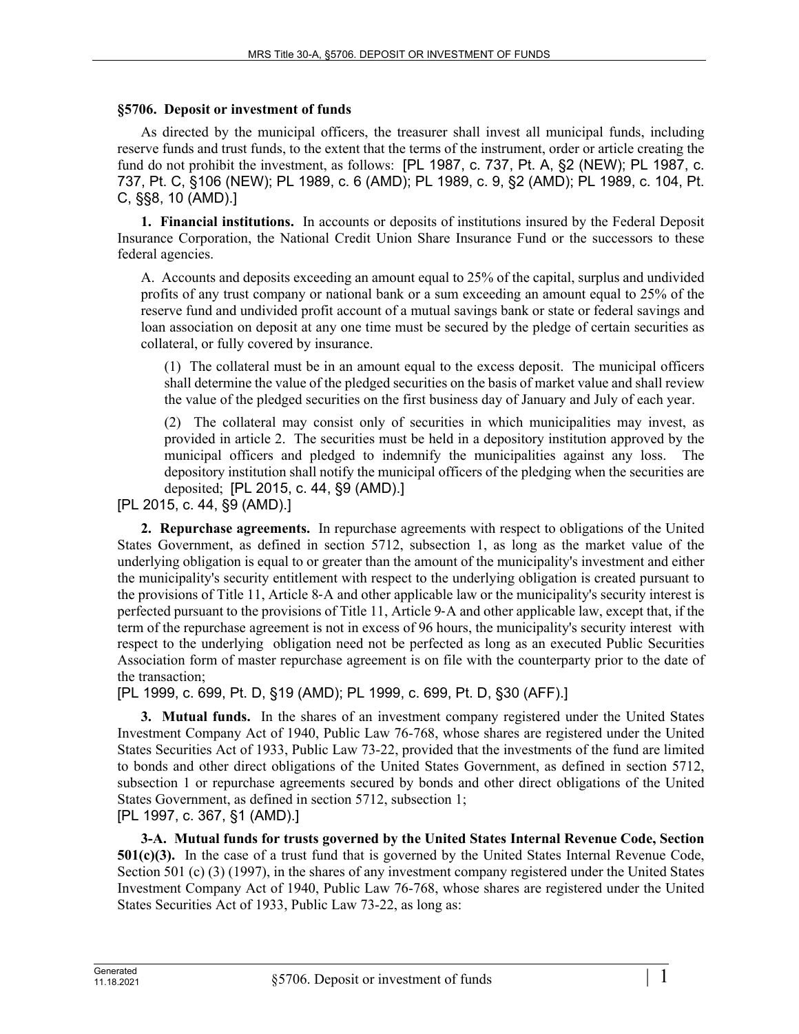## **§5706. Deposit or investment of funds**

As directed by the municipal officers, the treasurer shall invest all municipal funds, including reserve funds and trust funds, to the extent that the terms of the instrument, order or article creating the fund do not prohibit the investment, as follows: [PL 1987, c. 737, Pt. A, §2 (NEW); PL 1987, c. 737, Pt. C, §106 (NEW); PL 1989, c. 6 (AMD); PL 1989, c. 9, §2 (AMD); PL 1989, c. 104, Pt. C, §§8, 10 (AMD).]

**1. Financial institutions.** In accounts or deposits of institutions insured by the Federal Deposit Insurance Corporation, the National Credit Union Share Insurance Fund or the successors to these federal agencies.

A. Accounts and deposits exceeding an amount equal to 25% of the capital, surplus and undivided profits of any trust company or national bank or a sum exceeding an amount equal to 25% of the reserve fund and undivided profit account of a mutual savings bank or state or federal savings and loan association on deposit at any one time must be secured by the pledge of certain securities as collateral, or fully covered by insurance.

(1) The collateral must be in an amount equal to the excess deposit. The municipal officers shall determine the value of the pledged securities on the basis of market value and shall review the value of the pledged securities on the first business day of January and July of each year.

(2) The collateral may consist only of securities in which municipalities may invest, as provided in article 2. The securities must be held in a depository institution approved by the municipal officers and pledged to indemnify the municipalities against any loss. The depository institution shall notify the municipal officers of the pledging when the securities are deposited; [PL 2015, c. 44, §9 (AMD).]

[PL 2015, c. 44, §9 (AMD).]

**2. Repurchase agreements.** In repurchase agreements with respect to obligations of the United States Government, as defined in section 5712, subsection 1, as long as the market value of the underlying obligation is equal to or greater than the amount of the municipality's investment and either the municipality's security entitlement with respect to the underlying obligation is created pursuant to the provisions of Title 11, Article 8‑A and other applicable law or the municipality's security interest is perfected pursuant to the provisions of Title 11, Article 9‑A and other applicable law, except that, if the term of the repurchase agreement is not in excess of 96 hours, the municipality's security interest with respect to the underlying obligation need not be perfected as long as an executed Public Securities Association form of master repurchase agreement is on file with the counterparty prior to the date of the transaction;

[PL 1999, c. 699, Pt. D, §19 (AMD); PL 1999, c. 699, Pt. D, §30 (AFF).]

**3. Mutual funds.** In the shares of an investment company registered under the United States Investment Company Act of 1940, Public Law 76-768, whose shares are registered under the United States Securities Act of 1933, Public Law 73-22, provided that the investments of the fund are limited to bonds and other direct obligations of the United States Government, as defined in section 5712, subsection 1 or repurchase agreements secured by bonds and other direct obligations of the United States Government, as defined in section 5712, subsection 1; [PL 1997, c. 367, §1 (AMD).]

**3-A. Mutual funds for trusts governed by the United States Internal Revenue Code, Section 501(c)(3).** In the case of a trust fund that is governed by the United States Internal Revenue Code, Section 501 (c) (3) (1997), in the shares of any investment company registered under the United States Investment Company Act of 1940, Public Law 76-768, whose shares are registered under the United States Securities Act of 1933, Public Law 73-22, as long as: